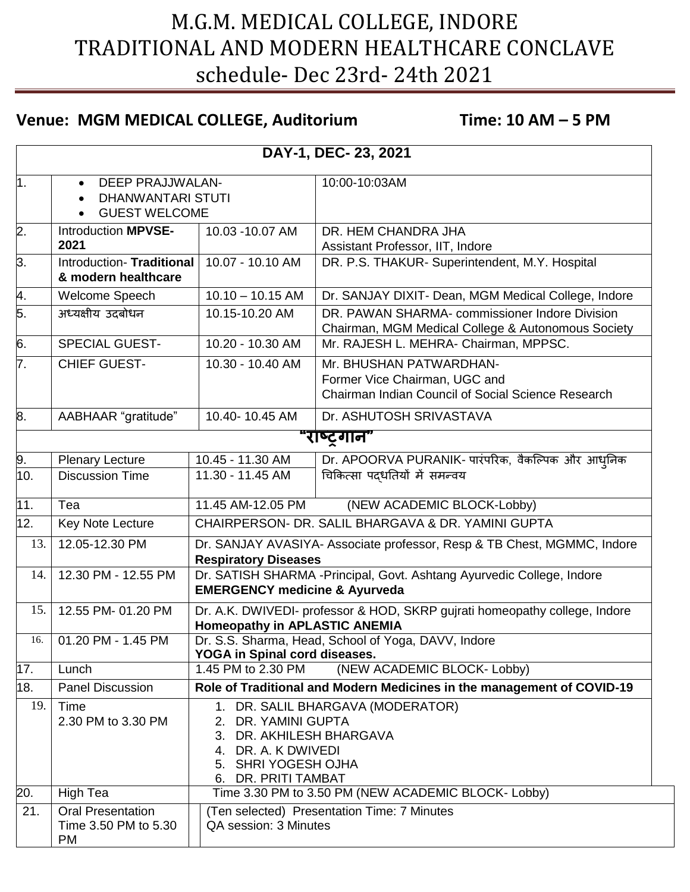## M.G.M. MEDICAL COLLEGE, INDORE TRADITIONAL AND MODERN HEALTHCARE CONCLAVE schedule- Dec 23rd- 24th 2021

## **Venue: MGM MEDICAL COLLEGE, Auditorium Time: 10 AM – 5 PM**

| DAY-1, DEC- 23, 2021 |                                                                                                       |                                                                                                                                                           |                                                                                                                       |  |  |  |
|----------------------|-------------------------------------------------------------------------------------------------------|-----------------------------------------------------------------------------------------------------------------------------------------------------------|-----------------------------------------------------------------------------------------------------------------------|--|--|--|
| $\overline{1}$ .     | <b>DEEP PRAJJWALAN-</b><br>$\bullet$<br><b>DHANWANTARI STUTI</b><br>$\bullet$<br><b>GUEST WELCOME</b> |                                                                                                                                                           | 10:00-10:03AM                                                                                                         |  |  |  |
| $\overline{2}$ .     | Introduction MPVSE-<br>2021                                                                           | 10.03 -10.07 AM                                                                                                                                           | DR. HEM CHANDRA JHA<br>Assistant Professor, IIT, Indore                                                               |  |  |  |
| 3.                   | Introduction-Traditional<br>& modern healthcare                                                       | 10.07 - 10.10 AM                                                                                                                                          | DR. P.S. THAKUR- Superintendent, M.Y. Hospital                                                                        |  |  |  |
| $\overline{4}$ .     | Welcome Speech                                                                                        | $10.10 - 10.15$ AM                                                                                                                                        | Dr. SANJAY DIXIT- Dean, MGM Medical College, Indore                                                                   |  |  |  |
| 5.                   | अध्यक्षीय उदबोधन                                                                                      | 10.15-10.20 AM                                                                                                                                            | DR. PAWAN SHARMA- commissioner Indore Division<br>Chairman, MGM Medical College & Autonomous Society                  |  |  |  |
| 6.                   | SPECIAL GUEST-                                                                                        | 10.20 - 10.30 AM                                                                                                                                          | Mr. RAJESH L. MEHRA- Chairman, MPPSC.                                                                                 |  |  |  |
| 7.                   | <b>CHIEF GUEST-</b>                                                                                   | 10.30 - 10.40 AM                                                                                                                                          | Mr. BHUSHAN PATWARDHAN-<br>Former Vice Chairman, UGC and<br><b>Chairman Indian Council of Social Science Research</b> |  |  |  |
| 8.                   | AABHAAR "gratitude"                                                                                   | 10.40-10.45 AM                                                                                                                                            | Dr. ASHUTOSH SRIVASTAVA                                                                                               |  |  |  |
| "राष्ट्रगान"         |                                                                                                       |                                                                                                                                                           |                                                                                                                       |  |  |  |
| 9.                   | <b>Plenary Lecture</b>                                                                                | 10.45 - 11.30 AM                                                                                                                                          | Dr. APOORVA PURANIK- पारंपरिक, वैकल्पिक और आधुनिक                                                                     |  |  |  |
| 10.                  | <b>Discussion Time</b>                                                                                | 11.30 - 11.45 AM                                                                                                                                          | चिकित्सा पद्धतियों में समन्वय                                                                                         |  |  |  |
| 11.                  | Tea                                                                                                   | 11.45 AM-12.05 PM                                                                                                                                         | (NEW ACADEMIC BLOCK-Lobby)                                                                                            |  |  |  |
| 12.                  | Key Note Lecture                                                                                      | CHAIRPERSON- DR. SALIL BHARGAVA & DR. YAMINI GUPTA                                                                                                        |                                                                                                                       |  |  |  |
| 13.                  | 12.05-12.30 PM                                                                                        | Dr. SANJAY AVASIYA- Associate professor, Resp & TB Chest, MGMMC, Indore<br><b>Respiratory Diseases</b>                                                    |                                                                                                                       |  |  |  |
| 14.                  | 12.30 PM - 12.55 PM                                                                                   | Dr. SATISH SHARMA - Principal, Govt. Ashtang Ayurvedic College, Indore<br><b>EMERGENCY medicine &amp; Ayurveda</b>                                        |                                                                                                                       |  |  |  |
| 15.                  | 12.55 PM- 01.20 PM                                                                                    | Dr. A.K. DWIVEDI- professor & HOD, SKRP gujrati homeopathy college, Indore<br><b>Homeopathy in APLASTIC ANEMIA</b>                                        |                                                                                                                       |  |  |  |
| 16.                  | 01.20 PM - 1.45 PM                                                                                    | Dr. S.S. Sharma, Head, School of Yoga, DAVV, Indore<br>YOGA in Spinal cord diseases.                                                                      |                                                                                                                       |  |  |  |
| 17.                  | Lunch                                                                                                 | 1.45 PM to 2.30 PM<br>(NEW ACADEMIC BLOCK- Lobby)                                                                                                         |                                                                                                                       |  |  |  |
| 18.                  | <b>Panel Discussion</b>                                                                               | Role of Traditional and Modern Medicines in the management of COVID-19                                                                                    |                                                                                                                       |  |  |  |
| 19.                  | Time<br>2.30 PM to 3.30 PM                                                                            | 1. DR. SALIL BHARGAVA (MODERATOR)<br>2. DR. YAMINI GUPTA<br>3. DR. AKHILESH BHARGAVA<br>4. DR. A. K DWIVEDI<br>5. SHRI YOGESH OJHA<br>6. DR. PRITI TAMBAT |                                                                                                                       |  |  |  |
| 20.                  | High Tea                                                                                              |                                                                                                                                                           | Time 3.30 PM to 3.50 PM (NEW ACADEMIC BLOCK- Lobby)                                                                   |  |  |  |
| 21.                  | <b>Oral Presentation</b><br>Time 3.50 PM to 5.30<br><b>PM</b>                                         | (Ten selected) Presentation Time: 7 Minutes<br>QA session: 3 Minutes                                                                                      |                                                                                                                       |  |  |  |